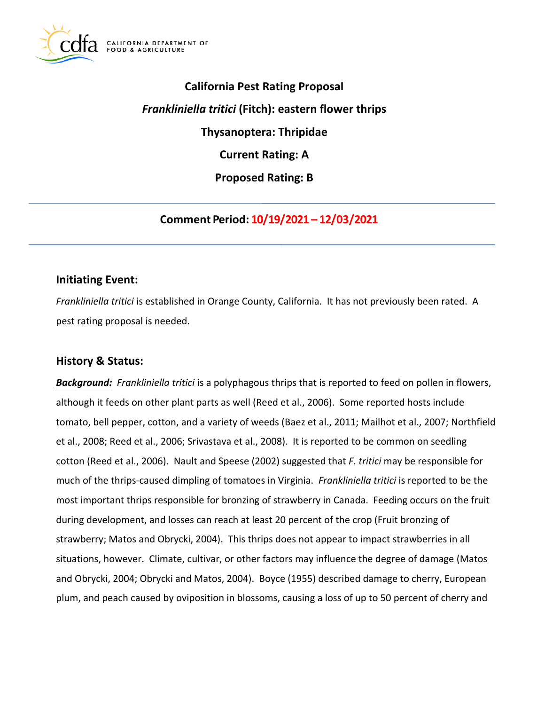

# **California Pest Rating Proposal**  *Frankliniella tritici* **(Fitch): eastern flower thrips Thysanoptera: Thripidae Current Rating: A Proposed Rating: B**

**Comment Period: 10/19/2021 – 12/03/2021**

# **Initiating Event:**

*Frankliniella tritici* is established in Orange County, California. It has not previously been rated. A pest rating proposal is needed.

## **History & Status:**

*Background: Frankliniella tritici* is a polyphagous thrips that is reported to feed on pollen in flowers, although it feeds on other plant parts as well (Reed et al., 2006). Some reported hosts include tomato, bell pepper, cotton, and a variety of weeds (Baez et al., 2011; Mailhot et al., 2007; Northfield et al., 2008; Reed et al., 2006; Srivastava et al., 2008). It is reported to be common on seedling cotton (Reed et al., 2006). Nault and Speese (2002) suggested that *F. tritici* may be responsible for much of the thrips-caused dimpling of tomatoes in Virginia. *Frankliniella tritici* is reported to be the most important thrips responsible for bronzing of strawberry in Canada. Feeding occurs on the fruit during development, and losses can reach at least 20 percent of the crop (Fruit bronzing of strawberry; Matos and Obrycki, 2004). This thrips does not appear to impact strawberries in all situations, however. Climate, cultivar, or other factors may influence the degree of damage (Matos and Obrycki, 2004; Obrycki and Matos, 2004). Boyce (1955) described damage to cherry, European plum, and peach caused by oviposition in blossoms, causing a loss of up to 50 percent of cherry and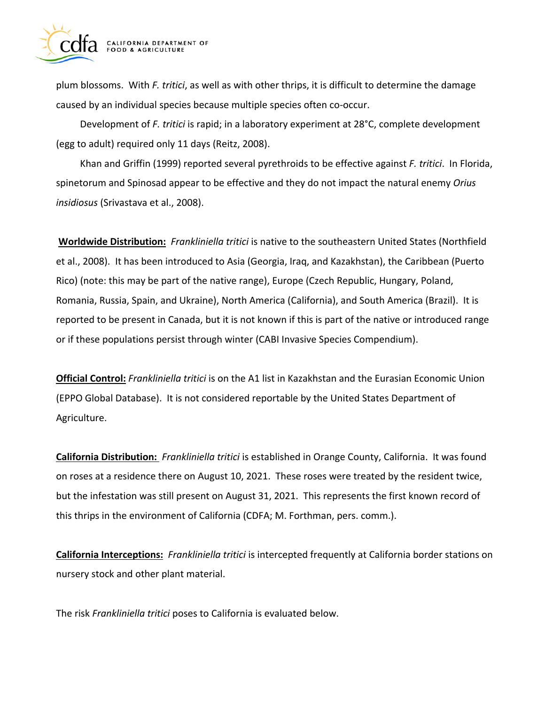

plum blossoms. With *F. tritici*, as well as with other thrips, it is difficult to determine the damage caused by an individual species because multiple species often co-occur.

Development of *F. tritici* is rapid; in a laboratory experiment at 28°C, complete development (egg to adult) required only 11 days (Reitz, 2008).

Khan and Griffin (1999) reported several pyrethroids to be effective against *F. tritici*. In Florida, spinetorum and Spinosad appear to be effective and they do not impact the natural enemy *Orius insidiosus* (Srivastava et al., 2008).

**Worldwide Distribution:** *Frankliniella tritici* is native to the southeastern United States (Northfield et al., 2008). It has been introduced to Asia (Georgia, Iraq, and Kazakhstan), the Caribbean (Puerto Rico) (note: this may be part of the native range), Europe (Czech Republic, Hungary, Poland, Romania, Russia, Spain, and Ukraine), North America (California), and South America (Brazil). It is reported to be present in Canada, but it is not known if this is part of the native or introduced range or if these populations persist through winter (CABI Invasive Species Compendium).

**Official Control:** *Frankliniella tritici* is on the A1 list in Kazakhstan and the Eurasian Economic Union (EPPO Global Database). It is not considered reportable by the United States Department of Agriculture.

**California Distribution:** *Frankliniella tritici* is established in Orange County, California. It was found on roses at a residence there on August 10, 2021. These roses were treated by the resident twice, but the infestation was still present on August 31, 2021. This represents the first known record of this thrips in the environment of California (CDFA; M. Forthman, pers. comm.).

**California Interceptions:** *Frankliniella tritici* is intercepted frequently at California border stations on nursery stock and other plant material.

The risk *Frankliniella tritici* poses to California is evaluated below.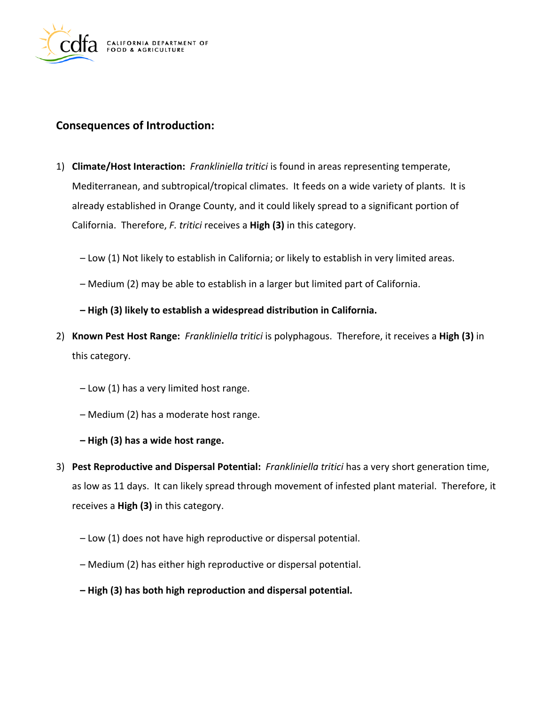

## **Consequences of Introduction:**

- 1) **Climate/Host Interaction:** *Frankliniella tritici* is found in areas representing temperate, Mediterranean, and subtropical/tropical climates. It feeds on a wide variety of plants. It is already established in Orange County, and it could likely spread to a significant portion of California. Therefore, *F. tritici* receives a **High (3)** in this category.
	- Low (1) Not likely to establish in California; or likely to establish in very limited areas.
	- Medium (2) may be able to establish in a larger but limited part of California.

#### **– High (3) likely to establish a widespread distribution in California.**

- 2) **Known Pest Host Range:** *Frankliniella tritici* is polyphagous. Therefore, it receives a **High (3)** in this category.
	- Low (1) has a very limited host range.
	- Medium (2) has a moderate host range.
	- **– High (3) has a wide host range.**
- 3) **Pest Reproductive and Dispersal Potential:** *Frankliniella tritici* has a very short generation time, as low as 11 days. It can likely spread through movement of infested plant material. Therefore, it receives a **High (3)** in this category.
	- Low (1) does not have high reproductive or dispersal potential.
	- Medium (2) has either high reproductive or dispersal potential.
	- **– High (3) has both high reproduction and dispersal potential.**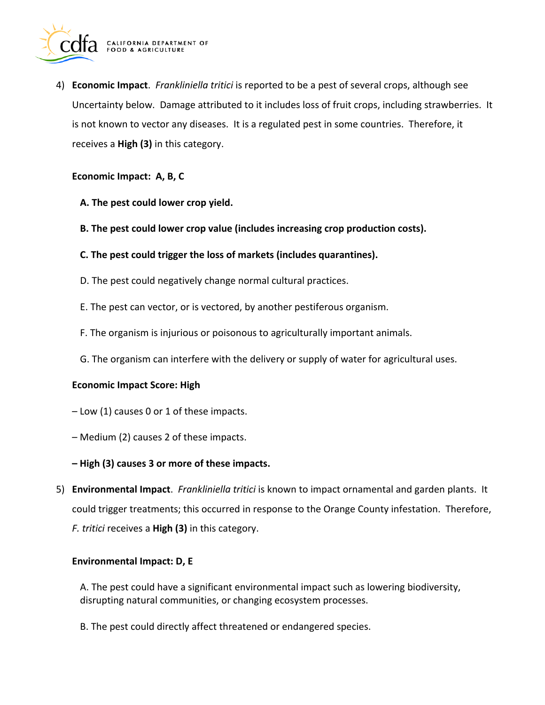

4) **Economic Impact**. *Frankliniella tritici* is reported to be a pest of several crops, although see Uncertainty below. Damage attributed to it includes loss of fruit crops, including strawberries. It is not known to vector any diseases. It is a regulated pest in some countries. Therefore, it receives a **High (3)** in this category.

#### **Economic Impact: A, B, C**

- **A. The pest could lower crop yield.**
- **B. The pest could lower crop value (includes increasing crop production costs).**
- **C. The pest could trigger the loss of markets (includes quarantines).**
- D. The pest could negatively change normal cultural practices.
- E. The pest can vector, or is vectored, by another pestiferous organism.
- F. The organism is injurious or poisonous to agriculturally important animals.
- G. The organism can interfere with the delivery or supply of water for agricultural uses.

#### **Economic Impact Score: High**

- Low (1) causes 0 or 1 of these impacts.
- Medium (2) causes 2 of these impacts.
- **– High (3) causes 3 or more of these impacts.**
- 5) **Environmental Impact**. *Frankliniella tritici* is known to impact ornamental and garden plants. It could trigger treatments; this occurred in response to the Orange County infestation. Therefore, *F. tritici* receives a **High (3)** in this category.

#### **Environmental Impact: D, E**

A. The pest could have a significant environmental impact such as lowering biodiversity, disrupting natural communities, or changing ecosystem processes.

B. The pest could directly affect threatened or endangered species.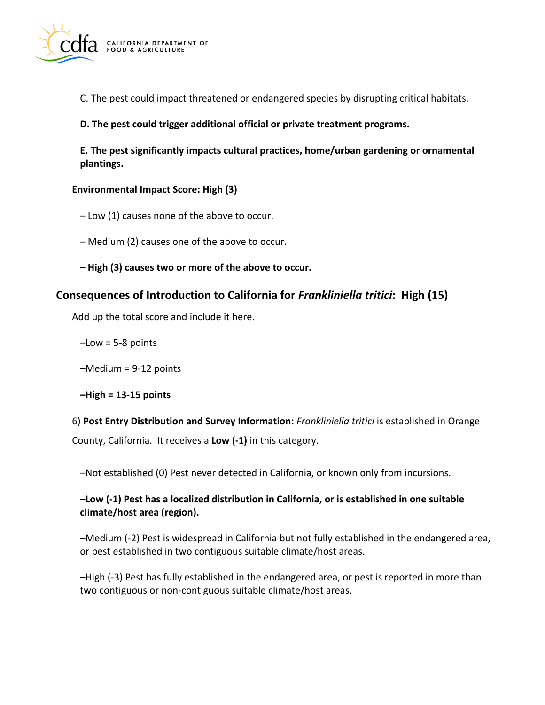

C. The pest could impact threatened or endangered species by disrupting critical habitats.

**D. The pest could trigger additional official or private treatment programs.** 

**E. The pest significantly impacts cultural practices, home/urban gardening or ornamental plantings.** 

#### **Environmental Impact Score: High (3)**

– Low (1) causes none of the above to occur.

– Medium (2) causes one of the above to occur.

**– High (3) causes two or more of the above to occur.** 

## **Consequences of Introduction to California for** *Frankliniella tritici***: High (15)**

Add up the total score and include it here.

 $-Low = 5-8$  points

–Medium = 9-12 points

**–High = 13-15 points** 

6) **Post Entry Distribution and Survey Information:** *Frankliniella tritici* is established in Orange County, California. It receives a **Low (-1)** in this category.

–Not established (0) Pest never detected in California, or known only from incursions.

#### **–Low (-1) Pest has a localized distribution in California, or is established in one suitable climate/host area (region).**

–Medium (-2) Pest is widespread in California but not fully established in the endangered area, or pest established in two contiguous suitable climate/host areas.

–High (-3) Pest has fully established in the endangered area, or pest is reported in more than two contiguous or non-contiguous suitable climate/host areas.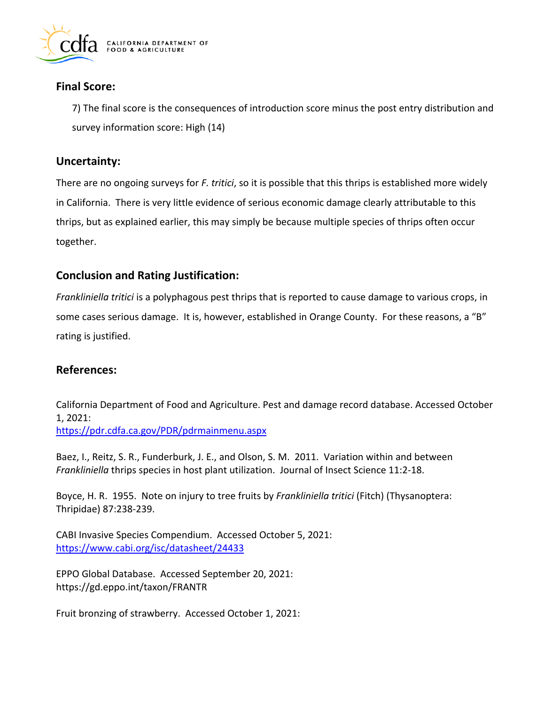

## **Final Score:**

7) The final score is the consequences of introduction score minus the post entry distribution and survey information score: High (14)

## **Uncertainty:**

There are no ongoing surveys for *F. tritici*, so it is possible that this thrips is established more widely in California. There is very little evidence of serious economic damage clearly attributable to this thrips, but as explained earlier, this may simply be because multiple species of thrips often occur together.

# **Conclusion and Rating Justification:**

*Frankliniella tritici* is a polyphagous pest thrips that is reported to cause damage to various crops, in some cases serious damage. It is, however, established in Orange County. For these reasons, a "B" rating is justified.

## **References:**

California Department of Food and Agriculture. Pest and damage record database. Accessed October 1, 2021: <https://pdr.cdfa.ca.gov/PDR/pdrmainmenu.aspx>

Baez, I., Reitz, S. R., Funderburk, J. E., and Olson, S. M. 2011. Variation within and between *Frankliniella* thrips species in host plant utilization. Journal of Insect Science 11:2-18.

Boyce, H. R. 1955. Note on injury to tree fruits by *Frankliniella tritici* (Fitch) (Thysanoptera: Thripidae) 87:238-239.

CABI Invasive Species Compendium. Accessed October 5, 2021: <https://www.cabi.org/isc/datasheet/24433>

EPPO Global Database. Accessed September 20, 2021: <https://gd.eppo.int/taxon/FRANTR>

Fruit bronzing of strawberry. Accessed October 1, 2021: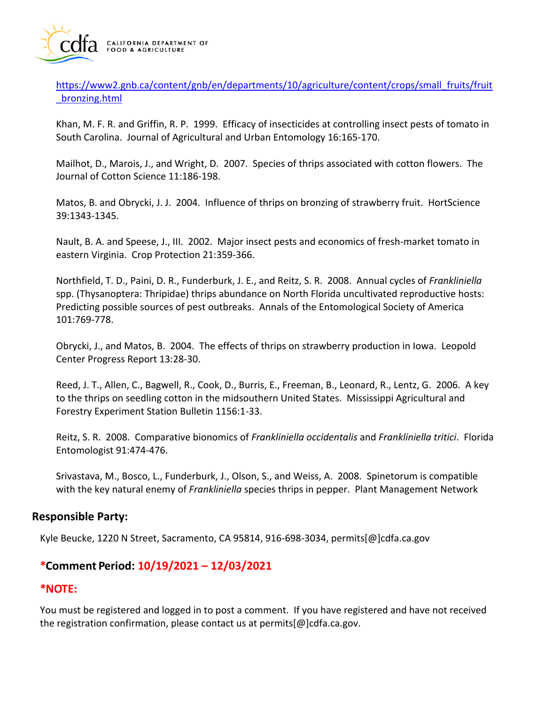

[https://www2.gnb.ca/content/gnb/en/departments/10/agriculture/content/crops/small\\_fruits/fruit](https://www2.gnb.ca/content/gnb/en/departments/10/agriculture/content/crops/small_fruits/fruit_bronzing.html)  [\\_bronzing.html](https://www2.gnb.ca/content/gnb/en/departments/10/agriculture/content/crops/small_fruits/fruit_bronzing.html) 

Khan, M. F. R. and Griffin, R. P. 1999. Efficacy of insecticides at controlling insect pests of tomato in South Carolina. Journal of Agricultural and Urban Entomology 16:165-170.

Mailhot, D., Marois, J., and Wright, D. 2007. Species of thrips associated with cotton flowers. The Journal of Cotton Science 11:186-198.

Matos, B. and Obrycki, J. J. 2004. Influence of thrips on bronzing of strawberry fruit. HortScience 39:1343-1345.

Nault, B. A. and Speese, J., III. 2002. Major insect pests and economics of fresh-market tomato in eastern Virginia. Crop Protection 21:359-366.

Northfield, T. D., Paini, D. R., Funderburk, J. E., and Reitz, S. R. 2008. Annual cycles of *Frankliniella*  spp. (Thysanoptera: Thripidae) thrips abundance on North Florida uncultivated reproductive hosts: Predicting possible sources of pest outbreaks. Annals of the Entomological Society of America 101:769-778.

Obrycki, J., and Matos, B. 2004. The effects of thrips on strawberry production in Iowa. Leopold Center Progress Report 13:28-30.

Reed, J. T., Allen, C., Bagwell, R., Cook, D., Burris, E., Freeman, B., Leonard, R., Lentz, G. 2006. A key to the thrips on seedling cotton in the midsouthern United States. Mississippi Agricultural and Forestry Experiment Station Bulletin 1156:1-33.

Reitz, S. R. 2008. Comparative bionomics of *Frankliniella occidentalis* and *Frankliniella tritici*. Florida Entomologist 91:474-476.

Srivastava, M., Bosco, L., Funderburk, J., Olson, S., and Weiss, A. 2008. Spinetorum is compatible with the key natural enemy of *Frankliniella* species thrips in pepper. Plant Management Network

## **Responsible Party:**

Kyle Beucke, 1220 N Street, Sacramento, CA 95814, 916-698-3034, [permits\[@\]cdfa.ca.gov](https://permits[@]cdfa.ca.gov) 

## **\*Comment Period: 10/19/2021 – 12/03/2021**

## **\*NOTE:**

You must be registered and logged in to post a comment. If you have registered and have not received the registration confirmation, please contact us at [permits\[@\]cdfa.ca.gov](https://permits[@]cdfa.ca.gov).